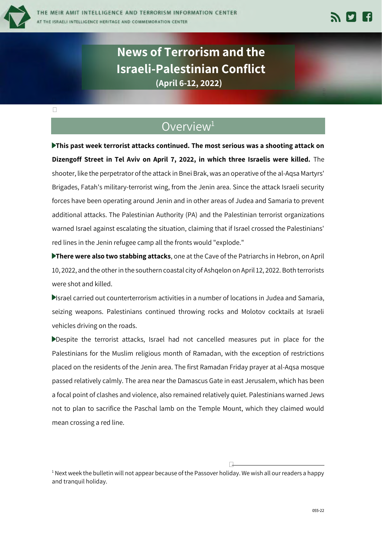

## Overview<sup>1</sup>

**This past week terrorist attacks continued. The most serious was a shooting attack on Dizengoff Street in Tel Aviv on April 7, 2022, in which three Israelis were killed.** The shooter, like the perpetrator of the attack in Bnei Brak, was an operative of the al-Aqsa Martyrs' Brigades, Fatah's military-terrorist wing, from the Jenin area. Since the attack Israeli security forces have been operating around Jenin and in other areas of Judea and Samaria to prevent additional attacks. The Palestinian Authority (PA) and the Palestinian terrorist organizations warned Israel against escalating the situation, claiming that if Israel crossed the Palestinians' red lines in the Jenin refugee camp all the fronts would "explode."

**There were also two stabbing attacks**, one at the Cave of the Patriarchs in Hebron, on April 10, 2022, and the other in the southern coastal city of Ashqelon on April 12, 2022. Both terrorists were shot and killed.

Israel carried out counterterrorism activities in a number of locations in Judea and Samaria, seizing weapons. Palestinians continued throwing rocks and Molotov cocktails at Israeli vehicles driving on the roads.

Despite the terrorist attacks, Israel had not cancelled measures put in place for the Palestinians for the Muslim religious month of Ramadan, with the exception of restrictions placed on the residents of the Jenin area. The first Ramadan Friday prayer at al-Aqsa mosque passed relatively calmly. The area near the Damascus Gate in east Jerusalem, which has been a focal point of clashes and violence, also remained relatively quiet. Palestinians warned Jews not to plan to sacrifice the Paschal lamb on the Temple Mount, which they claimed would mean crossing a red line.

 $1$  Next week the bulletin will not appear because of the Passover holiday. We wish all our readers a happy and tranquil holiday.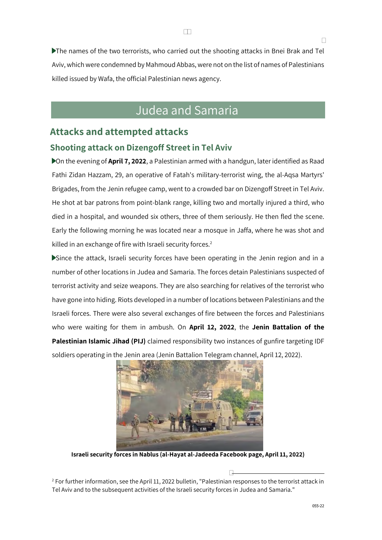The names of the two terrorists, who carried out the shooting attacks in Bnei Brak and Tel Aviv, which were condemned by Mahmoud Abbas, were not on the list of names of Palestinians killed issued by Wafa, the official Palestinian news agency.

# Judea and Samaria

## **Attacks and attempted attacks**

#### **Shooting attack on Dizengoff Street in Tel Aviv**

On the evening of **April 7, 2022**, a Palestinian armed with a handgun, later identified as Raad Fathi Zidan Hazzam, 29, an operative of Fatah's military-terrorist wing, the al-Aqsa Martyrs' Brigades, from the Jenin refugee camp, went to a crowded bar on Dizengoff Street in Tel Aviv. He shot at bar patrons from point-blank range, killing two and mortally injured a third, who died in a hospital, and wounded six others, three of them seriously. He then fled the scene. Early the following morning he was located near a mosque in Jaffa, where he was shot and killed in an exchange of fire with Israeli security forces.<sup>2</sup>

Since the attack, Israeli security forces have been operating in the Jenin region and in a number of other locations in Judea and Samaria. The forces detain Palestinians suspected of terrorist activity and seize weapons. They are also searching for relatives of the terrorist who have gone into hiding. Riots developed in a number of locations between Palestinians and the Israeli forces. There were also several exchanges of fire between the forces and Palestinians who were waiting for them in ambush. On **April 12, 2022**, the **Jenin Battalion of the Palestinian Islamic Jihad (PIJ)** claimed responsibility two instances of gunfire targeting IDF soldiers operating in the Jenin area (Jenin Battalion Telegram channel, April 12, 2022).



**Israeli security forces in Nablus (al-Hayat al-Jadeeda Facebook page, April 11, 2022)**

 $2$  For further information, see the April 11, 2022 bulletin, "Palestinian responses to the terrorist attack in Tel Aviv and to the subsequent activities of the Israeli security forces in Judea and Samaria."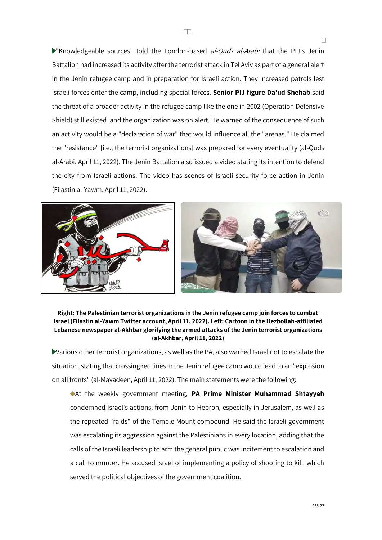"Knowledgeable sources" told the London-based al-Quds al-Arabi that the PIJ's Jenin Battalion had increased its activity after the terrorist attack in Tel Aviv as part of a general alert in the Jenin refugee camp and in preparation for Israeli action. They increased patrols lest Israeli forces enter the camp, including special forces. **Senior PIJ figure Da'ud Shehab** said the threat of a broader activity in the refugee camp like the one in 2002 (Operation Defensive Shield) still existed, and the organization was on alert. He warned of the consequence of such an activity would be a "declaration of war" that would influence all the "arenas." He claimed the "resistance" [i.e., the terrorist organizations] was prepared for every eventuality (al-Quds al-Arabi, April 11, 2022). The Jenin Battalion also issued a video stating its intention to defend the city from Israeli actions. The video has scenes of Israeli security force action in Jenin (Filastin al-Yawm, April 11, 2022).



#### **Right: The Palestinian terrorist organizations in the Jenin refugee camp join forces to combat Israel (Filastin al-Yawm Twitter account, April 11, 2022). Left: Cartoon in the Hezbollah-affiliated Lebanese newspaper al-Akhbar glorifying the armed attacks of the Jenin terrorist organizations (al-Akhbar, April 11, 2022)**

Various other terrorist organizations, as well as the PA, also warned Israel not to escalate the situation, stating that crossing red lines in the Jenin refugee camp would lead to an "explosion on all fronts" (al-Mayadeen, April 11, 2022). The main statements were the following:

At the weekly government meeting, **PA Prime Minister Muhammad Shtayyeh** condemned Israel's actions, from Jenin to Hebron, especially in Jerusalem, as well as the repeated "raids" of the Temple Mount compound. He said the Israeli government was escalating its aggression against the Palestinians in every location, adding that the calls of the Israeli leadership to arm the general public was incitement to escalation and a call to murder. He accused Israel of implementing a policy of shooting to kill, which served the political objectives of the government coalition.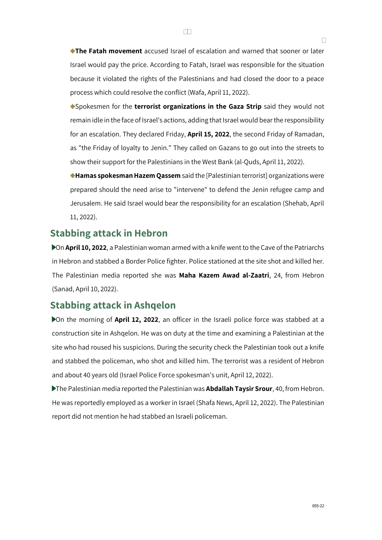**The Fatah movement** accused Israel of escalation and warned that sooner or later Israel would pay the price. According to Fatah, Israel was responsible for the situation because it violated the rights of the Palestinians and had closed the door to a peace process which could resolve the conflict (Wafa, April 11, 2022).

Spokesmen for the **terrorist organizations in the Gaza Strip** said they would not remain idle in the face of Israel's actions, adding that Israel would bear the responsibility for an escalation. They declared Friday, **April 15, 2022**, the second Friday of Ramadan, as "the Friday of loyalty to Jenin." They called on Gazans to go out into the streets to show their support for the Palestinians in the West Bank (al-Quds, April 11, 2022).

**Hamas spokesman Hazem Qassem** said the [Palestinian terrorist] organizations were prepared should the need arise to "intervene" to defend the Jenin refugee camp and Jerusalem. He said Israel would bear the responsibility for an escalation (Shehab, April 11, 2022).

## **Stabbing attack in Hebron**

On **April 10, 2022**, a Palestinian woman armed with a knife went to the Cave of the Patriarchs in Hebron and stabbed a Border Police fighter. Police stationed at the site shot and killed her. The Palestinian media reported she was **Maha Kazem Awad al-Zaatri**, 24, from Hebron (Sanad, April 10, 2022).

## **Stabbing attack in Ashqelon**

On the morning of **April 12, 2022**, an officer in the Israeli police force was stabbed at a construction site in Ashqelon. He was on duty at the time and examining a Palestinian at the site who had roused his suspicions. During the security check the Palestinian took out a knife and stabbed the policeman, who shot and killed him. The terrorist was a resident of Hebron and about 40 years old (Israel Police Force spokesman's unit, April 12, 2022).

The Palestinian media reported the Palestinian was **Abdallah Taysir Srour**, 40, from Hebron. He was reportedly employed as a worker in Israel (Shafa News, April 12, 2022). The Palestinian report did not mention he had stabbed an Israeli policeman.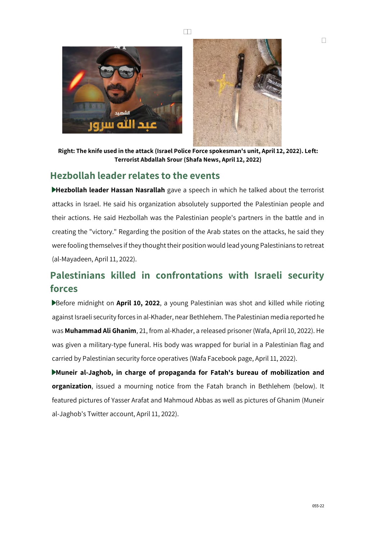



**Right: The knife used in the attack (Israel Police Force spokesman's unit, April 12, 2022). Left: Terrorist Abdallah Srour (Shafa News, April 12, 2022)**

### **Hezbollah leader relates to the events**

**Hezbollah leader Hassan Nasrallah** gave a speech in which he talked about the terrorist attacks in Israel. He said his organization absolutely supported the Palestinian people and their actions. He said Hezbollah was the Palestinian people's partners in the battle and in creating the "victory." Regarding the position of the Arab states on the attacks, he said they were fooling themselves if they thought their position would lead young Palestinians to retreat (al-Mayadeen, April 11, 2022).

## **Palestinians killed in confrontations with Israeli security forces**

Before midnight on **April 10, 2022**, a young Palestinian was shot and killed while rioting against Israeli security forces in al-Khader, near Bethlehem. The Palestinian media reported he was **Muhammad Ali Ghanim**, 21, from al-Khader, a released prisoner (Wafa, April 10, 2022). He was given a military-type funeral. His body was wrapped for burial in a Palestinian flag and carried by Palestinian security force operatives (Wafa Facebook page, April 11, 2022).

**Muneir al-Jaghob, in charge of propaganda for Fatah's bureau of mobilization and organization**, issued a mourning notice from the Fatah branch in Bethlehem (below). It featured pictures of Yasser Arafat and Mahmoud Abbas as well as pictures of Ghanim (Muneir al-Jaghob's Twitter account, April 11, 2022).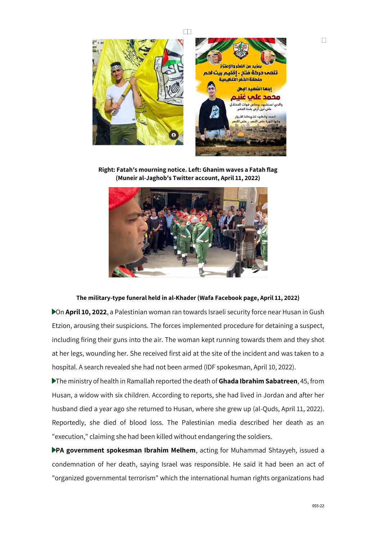

**Right: Fatah's mourning notice. Left: Ghanim waves a Fatah flag (Muneir al-Jaghob's Twitter account, April 11, 2022)**



#### **The military-type funeral held in al-Khader (Wafa Facebook page, April 11, 2022)**

On **April 10, 2022**, a Palestinian woman ran towards Israeli security force near Husan in Gush Etzion, arousing their suspicions. The forces implemented procedure for detaining a suspect, including firing their guns into the air. The woman kept running towards them and they shot at her legs, wounding her. She received first aid at the site of the incident and was taken to a hospital. A search revealed she had not been armed (IDF spokesman, April 10, 2022).

The ministry of health in Ramallah reported the death of **Ghada Ibrahim Sabatreen**, 45, from Husan, a widow with six children. According to reports, she had lived in Jordan and after her husband died a year ago she returned to Husan, where she grew up (al-Quds, April 11, 2022). Reportedly, she died of blood loss. The Palestinian media described her death as an "execution," claiming she had been killed without endangering the soldiers.

**PA government spokesman Ibrahim Melhem**, acting for Muhammad Shtayyeh, issued a condemnation of her death, saying Israel was responsible. He said it had been an act of "organized governmental terrorism" which the international human rights organizations had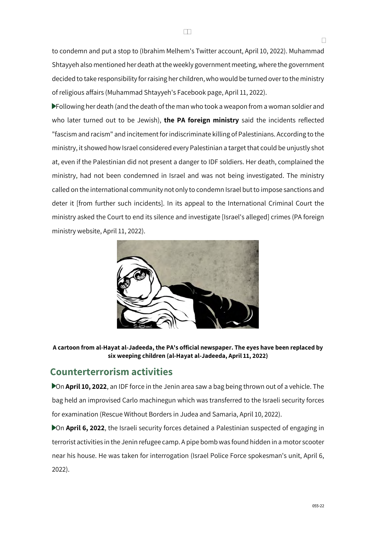to condemn and put a stop to (Ibrahim Melhem's Twitter account, April 10, 2022). Muhammad Shtayyeh also mentioned her death at the weekly government meeting, where the government decided to take responsibility for raising her children, who would be turned over to the ministry of religious affairs (Muhammad Shtayyeh's Facebook page, April 11, 2022).

Following her death (and the death of the man who took a weapon from a woman soldier and who later turned out to be Jewish), **the PA foreign ministry** said the incidents reflected "fascism and racism" and incitement for indiscriminate killing of Palestinians. According to the ministry, it showed how Israel considered every Palestinian a target that could be unjustly shot at, even if the Palestinian did not present a danger to IDF soldiers. Her death, complained the ministry, had not been condemned in Israel and was not being investigated. The ministry called on the international community not only to condemn Israel but to impose sanctions and deter it [from further such incidents]. In its appeal to the International Criminal Court the ministry asked the Court to end its silence and investigate [Israel's alleged] crimes (PA foreign ministry website, April 11, 2022).



**A cartoon from al-Hayat al-Jadeeda, the PA's official newspaper. The eyes have been replaced by six weeping children (al-Hayat al-Jadeeda, April 11, 2022)**

## **Counterterrorism activities**

On **April 10, 2022**, an IDF force in the Jenin area saw a bag being thrown out of a vehicle. The bag held an improvised Carlo machinegun which was transferred to the Israeli security forces for examination (Rescue Without Borders in Judea and Samaria, April 10, 2022).

On **April 6, 2022**, the Israeli security forces detained a Palestinian suspected of engaging in terrorist activities in the Jenin refugee camp. A pipe bomb was found hidden in a motor scooter near his house. He was taken for interrogation (Israel Police Force spokesman's unit, April 6, 2022).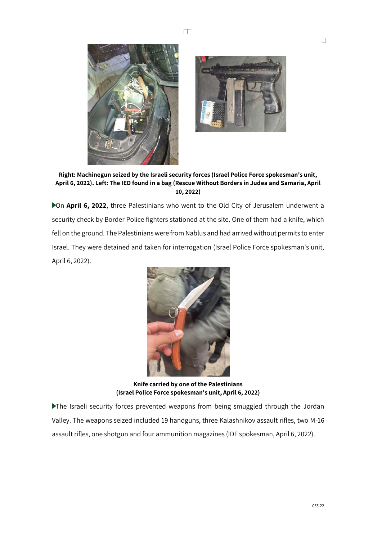



**Right: Machinegun seized by the Israeli security forces (Israel Police Force spokesman's unit, April 6, 2022). Left: The IED found in a bag (Rescue Without Borders in Judea and Samaria, April 10, 2022)**

On **April 6, 2022**, three Palestinians who went to the Old City of Jerusalem underwent a security check by Border Police fighters stationed at the site. One of them had a knife, which fell on the ground. The Palestinians were from Nablus and had arrived without permits to enter Israel. They were detained and taken for interrogation (Israel Police Force spokesman's unit, April 6, 2022).



**Knife carried by one of the Palestinians (Israel Police Force spokesman's unit, April 6, 2022)**

The Israeli security forces prevented weapons from being smuggled through the Jordan Valley. The weapons seized included 19 handguns, three Kalashnikov assault rifles, two M-16 assault rifles, one shotgun and four ammunition magazines (IDF spokesman, April 6, 2022).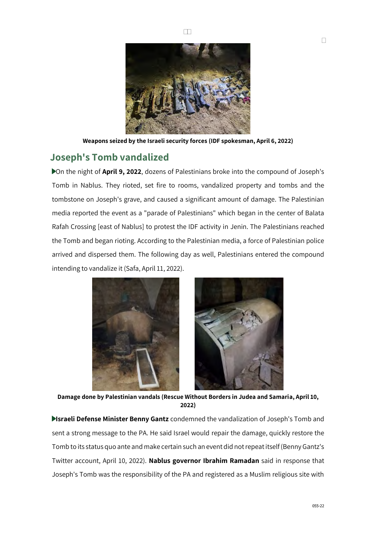

**Weapons seized by the Israeli security forces (IDF spokesman, April 6, 2022)**

## **Joseph's Tomb vandalized**

On the night of **April 9, 2022**, dozens of Palestinians broke into the compound of Joseph's Tomb in Nablus. They rioted, set fire to rooms, vandalized property and tombs and the tombstone on Joseph's grave, and caused a significant amount of damage. The Palestinian media reported the event as a "parade of Palestinians" which began in the center of Balata Rafah Crossing [east of Nablus] to protest the IDF activity in Jenin. The Palestinians reached the Tomb and began rioting. According to the Palestinian media, a force of Palestinian police arrived and dispersed them. The following day as well, Palestinians entered the compound intending to vandalize it (Safa, April 11, 2022).



**Damage done by Palestinian vandals (Rescue Without Borders in Judea and Samaria, April 10, 2022)**

**Israeli Defense Minister Benny Gantz** condemned the vandalization of Joseph's Tomb and sent a strong message to the PA. He said Israel would repair the damage, quickly restore the Tomb to its status quo ante and make certain such an event did not repeat itself (Benny Gantz's Twitter account, April 10, 2022). **Nablus governor Ibrahim Ramadan** said in response that Joseph's Tomb was the responsibility of the PA and registered as a Muslim religious site with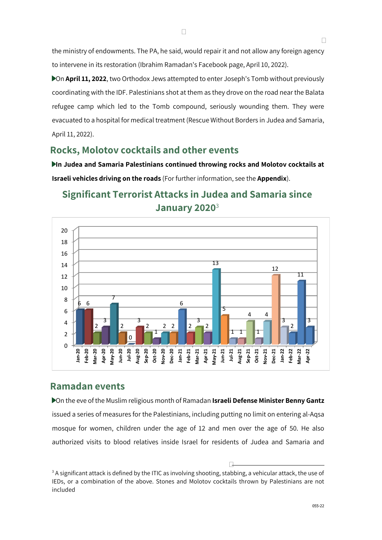the ministry of endowments. The PA, he said, would repair it and not allow any foreign agency to intervene in its restoration (Ibrahim Ramadan's Facebook page, April 10, 2022).

On **April 11, 2022**, two Orthodox Jews attempted to enter Joseph's Tomb without previously coordinating with the IDF. Palestinians shot at them as they drove on the road near the Balata refugee camp which led to the Tomb compound, seriously wounding them. They were evacuated to a hospital for medical treatment (Rescue Without Borders in Judea and Samaria, April 11, 2022).

### **Rocks, Molotov cocktails and other events**

**In Judea and Samaria Palestinians continued throwing rocks and Molotov cocktails at Israeli vehicles driving on the roads** (For further information, see the **Appendix**).

#### $\Omega$  $\overline{2}$ 4 6 8 10 12 14 16 18 20 **Jan-20 Feb-20 Mar-20 Apr-20 May-20 Jun-20 Jul-20 Aug-20 Sep-20 Oct-20 Nov-20 Dec-20 Jan-21 Feb-21 Mar-21 Apr-21 May-21 Jun-21 Jul-21 Aug-21 Sep-21 Oct-21 Nov-21 Dec-21 Jan-22 Feb-22 Mar-22 Apr-22** 6 6 2 3 7 2 0 3 2 1  $2<sub>2</sub>$ 6  $\overline{2}$ 3 2 13 5 1 1 4 1  $\overline{A}$ 12 3 2 11 3

## **Significant Terrorist Attacks in Judea and Samaria since January 2020**<sup>3</sup>

## **Ramadan events**

On the eve of the Muslim religious month of Ramadan **Israeli Defense Minister Benny Gantz** issued a series of measures for the Palestinians, including putting no limit on entering al-Aqsa mosque for women, children under the age of 12 and men over the age of 50. He also authorized visits to blood relatives inside Israel for residents of Judea and Samaria and

 $3$  A significant attack is defined by the ITIC as involving shooting, stabbing, a vehicular attack, the use of IEDs, or a combination of the above. Stones and Molotov cocktails thrown by Palestinians are not included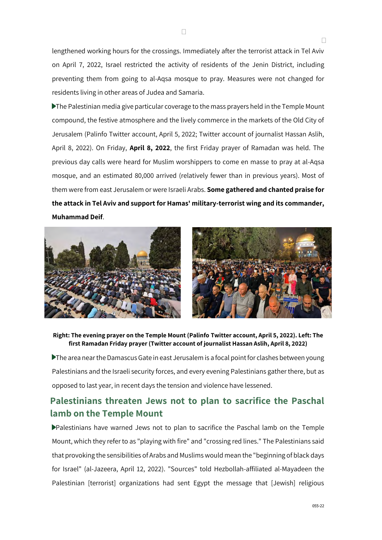lengthened working hours for the crossings. Immediately after the terrorist attack in Tel Aviv on April 7, 2022, Israel restricted the activity of residents of the Jenin District, including preventing them from going to al-Aqsa mosque to pray. Measures were not changed for residents living in other areas of Judea and Samaria.

The Palestinian media give particular coverage to the mass prayers held in the Temple Mount compound, the festive atmosphere and the lively commerce in the markets of the Old City of Jerusalem (Palinfo Twitter account, April 5, 2022; Twitter account of journalist Hassan Aslih, April 8, 2022). On Friday, **April 8, 2022**, the first Friday prayer of Ramadan was held. The previous day calls were heard for Muslim worshippers to come en masse to pray at al-Aqsa mosque, and an estimated 80,000 arrived (relatively fewer than in previous years). Most of them were from east Jerusalem or were Israeli Arabs. **Some gathered and chanted praise for the attack in Tel Aviv and support for Hamas' military-terrorist wing and its commander, Muhammad Deif**.





#### **Right: The evening prayer on the Temple Mount (Palinfo Twitter account, April 5, 2022). Left: The first Ramadan Friday prayer (Twitter account of journalist Hassan Aslih, April 8, 2022)**

The area near the Damascus Gate in east Jerusalem is a focal point for clashes between young Palestinians and the Israeli security forces, and every evening Palestinians gather there, but as opposed to last year, in recent days the tension and violence have lessened.

## **Palestinians threaten Jews not to plan to sacrifice the Paschal lamb on the Temple Mount**

Palestinians have warned Jews not to plan to sacrifice the Paschal lamb on the Temple Mount, which they refer to as "playing with fire" and "crossing red lines." The Palestinians said that provoking the sensibilities of Arabs and Muslims would mean the "beginning of black days for Israel" (al-Jazeera, April 12, 2022). "Sources" told Hezbollah-affiliated al-Mayadeen the Palestinian [terrorist] organizations had sent Egypt the message that [Jewish] religious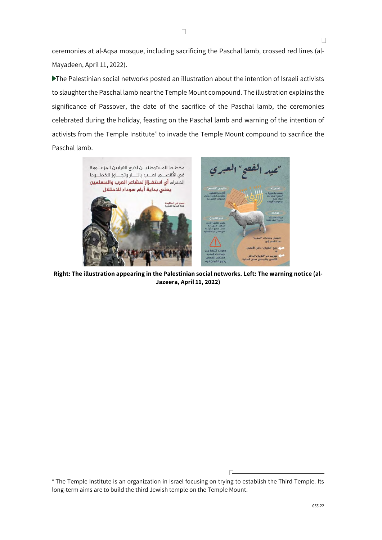ceremonies at al-Aqsa mosque, including sacrificing the Paschal lamb, crossed red lines (al-Mayadeen, April 11, 2022).

The Palestinian social networks posted an illustration about the intention of Israeli activists to slaughter the Paschal lamb near the Temple Mount compound. The illustration explains the significance of Passover, the date of the sacrifice of the Paschal lamb, the ceremonies celebrated during the holiday, feasting on the Paschal lamb and warning of the intention of activists from the Temple Institute<sup>4</sup> to invade the Temple Mount compound to sacrifice the Paschal lamb.



**Right: The illustration appearing in the Palestinian social networks. Left: The warning notice (al-Jazeera, April 11, 2022)**

<sup>4</sup> The Temple Institute is an organization in Israel focusing on trying to establish the Third Temple. Its long-term aims are to build the third Jewish temple on the Temple Mount.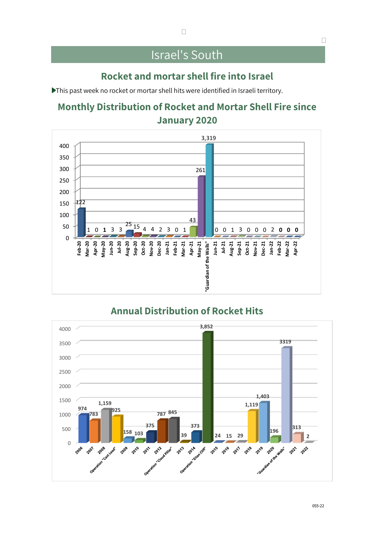## Israel's South

## **Rocket and mortar shell fire into Israel**

This past week no rocket or mortar shell hits were identified in Israeli territory.

## **Monthly Distribution of Rocket and Mortar Shell Fire since January 2020**



## **Annual Distribution of Rocket Hits**

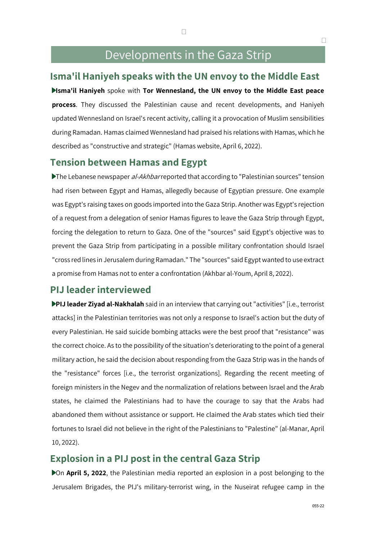## Developments in the Gaza Strip

### **Isma'il Haniyeh speaks with the UN envoy to the Middle East**

**Isma'il Haniyeh** spoke with **Tor Wennesland, the UN envoy to the Middle East peace process**. They discussed the Palestinian cause and recent developments, and Haniyeh updated Wennesland on Israel's recent activity, calling it a provocation of Muslim sensibilities during Ramadan. Hamas claimed Wennesland had praised his relations with Hamas, which he described as "constructive and strategic" (Hamas website, April 6, 2022).

### **Tension between Hamas and Egypt**

The Lebanese newspaper al-Akhbar reported that according to "Palestinian sources" tension had risen between Egypt and Hamas, allegedly because of Egyptian pressure. One example was Egypt's raising taxes on goods imported into the Gaza Strip. Another was Egypt's rejection of a request from a delegation of senior Hamas figures to leave the Gaza Strip through Egypt, forcing the delegation to return to Gaza. One of the "sources" said Egypt's objective was to prevent the Gaza Strip from participating in a possible military confrontation should Israel "cross red lines in Jerusalem during Ramadan." The "sources" said Egypt wanted to use extract a promise from Hamas not to enter a confrontation (Akhbar al-Youm, April 8, 2022).

## **PIJ leader interviewed**

**PIJ leader Ziyad al-Nakhalah** said in an interview that carrying out "activities" [i.e., terrorist attacks] in the Palestinian territories was not only a response to Israel's action but the duty of every Palestinian. He said suicide bombing attacks were the best proof that "resistance" was the correct choice. As to the possibility of the situation's deteriorating to the point of a general military action, he said the decision about responding from the Gaza Strip was in the hands of the "resistance" forces [i.e., the terrorist organizations]. Regarding the recent meeting of foreign ministers in the Negev and the normalization of relations between Israel and the Arab states, he claimed the Palestinians had to have the courage to say that the Arabs had abandoned them without assistance or support. He claimed the Arab states which tied their fortunes to Israel did not believe in the right of the Palestinians to "Palestine" (al-Manar, April 10, 2022).

## **Explosion in a PIJ post in the central Gaza Strip**

On **April 5, 2022**, the Palestinian media reported an explosion in a post belonging to the Jerusalem Brigades, the PIJ's military-terrorist wing, in the Nuseirat refugee camp in the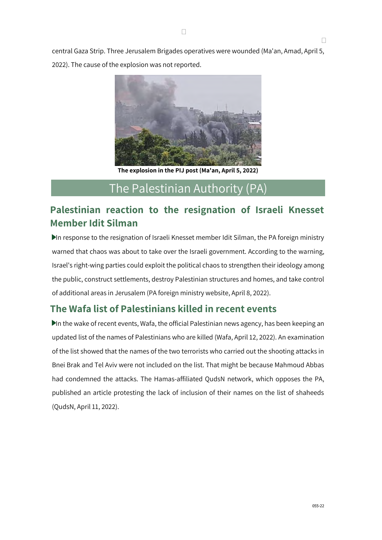central Gaza Strip. Three Jerusalem Brigades operatives were wounded (Ma'an, Amad, April 5, 2022). The cause of the explosion was not reported.



**The explosion in the PIJ post (Ma'an, April 5, 2022)**

## The Palestinian Authority (PA)

## **Palestinian reaction to the resignation of Israeli Knesset Member Idit Silman**

In response to the resignation of Israeli Knesset member Idit Silman, the PA foreign ministry warned that chaos was about to take over the Israeli government. According to the warning, Israel's right-wing parties could exploit the political chaos to strengthen their ideology among the public, construct settlements, destroy Palestinian structures and homes, and take control of additional areas in Jerusalem (PA foreign ministry website, April 8, 2022).

## **The Wafa list of Palestinians killed in recent events**

In the wake of recent events, Wafa, the official Palestinian news agency, has been keeping an updated list of the names of Palestinians who are killed (Wafa, April 12, 2022). An examination of the list showed that the names of the two terrorists who carried out the shooting attacks in Bnei Brak and Tel Aviv were not included on the list. That might be because Mahmoud Abbas had condemned the attacks. The Hamas-affiliated QudsN network, which opposes the PA, published an article protesting the lack of inclusion of their names on the list of shaheeds (QudsN, April 11, 2022).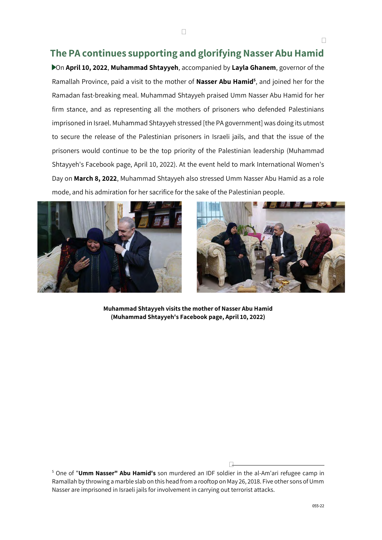## **The PA continues supporting and glorifying Nasser Abu Hamid**

On **April 10, 2022**, **Muhammad Shtayyeh**, accompanied by **Layla Ghanem**, governor of the Ramallah Province, paid a visit to the mother of **Nasser Abu Hamid<sup>5</sup>** , and joined her for the Ramadan fast-breaking meal. Muhammad Shtayyeh praised Umm Nasser Abu Hamid for her firm stance, and as representing all the mothers of prisoners who defended Palestinians imprisoned in Israel. Muhammad Shtayyeh stressed [the PA government] was doing its utmost to secure the release of the Palestinian prisoners in Israeli jails, and that the issue of the prisoners would continue to be the top priority of the Palestinian leadership (Muhammad Shtayyeh's Facebook page, April 10, 2022). At the event held to mark International Women's Day on **March 8, 2022**, Muhammad Shtayyeh also stressed Umm Nasser Abu Hamid as a role mode, and his admiration for her sacrifice for the sake of the Palestinian people.





**Muhammad Shtayyeh visits the mother of Nasser Abu Hamid (Muhammad Shtayyeh's Facebook page, April 10, 2022)**

<sup>5</sup> One of "**Umm Nasser" Abu Hamid's** son murdered an IDF soldier in the al-Am'ari refugee camp in Ramallah by throwing a marble slab on this head from a rooftop on May 26, 2018. Five other sons of Umm Nasser are imprisoned in Israeli jails for involvement in carrying out terrorist attacks.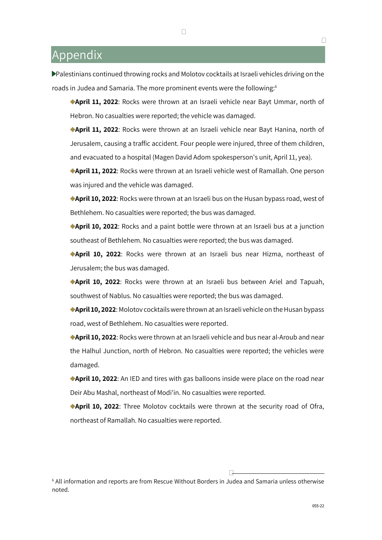## Appendix

Palestinians continued throwing rocks and Molotov cocktails at Israeli vehicles driving on the roads in Judea and Samaria. The more prominent events were the following:<sup>6</sup>

**April 11, 2022**: Rocks were thrown at an Israeli vehicle near Bayt Ummar, north of Hebron. No casualties were reported; the vehicle was damaged.

**April 11, 2022**: Rocks were thrown at an Israeli vehicle near Bayt Hanina, north of Jerusalem, causing a traffic accident. Four people were injured, three of them children, and evacuated to a hospital (Magen David Adom spokesperson's unit, April 11, yea).

**April 11, 2022**: Rocks were thrown at an Israeli vehicle west of Ramallah. One person was injured and the vehicle was damaged.

**April 10, 2022**: Rocks were thrown at an Israeli bus on the Husan bypass road, west of Bethlehem. No casualties were reported; the bus was damaged.

**April 10, 2022**: Rocks and a paint bottle were thrown at an Israeli bus at a junction southeast of Bethlehem. No casualties were reported; the bus was damaged.

**April 10, 2022**: Rocks were thrown at an Israeli bus near Hizma, northeast of Jerusalem; the bus was damaged.

**April 10, 2022**: Rocks were thrown at an Israeli bus between Ariel and Tapuah, southwest of Nablus. No casualties were reported; the bus was damaged.

**April 10, 2022**: Molotov cocktails were thrown at an Israeli vehicle on the Husan bypass road, west of Bethlehem. No casualties were reported.

**April 10, 2022**: Rocks were thrown at an Israeli vehicle and bus near al-Aroub and near the Halhul Junction, north of Hebron. No casualties were reported; the vehicles were damaged.

**April 10, 2022**: An IED and tires with gas balloons inside were place on the road near Deir Abu Mashal, northeast of Modi'in. No casualties were reported.

**April 10, 2022**: Three Molotov cocktails were thrown at the security road of Ofra, northeast of Ramallah. No casualties were reported.

 $6$  All information and reports are from Rescue Without Borders in Judea and Samaria unless otherwise noted.